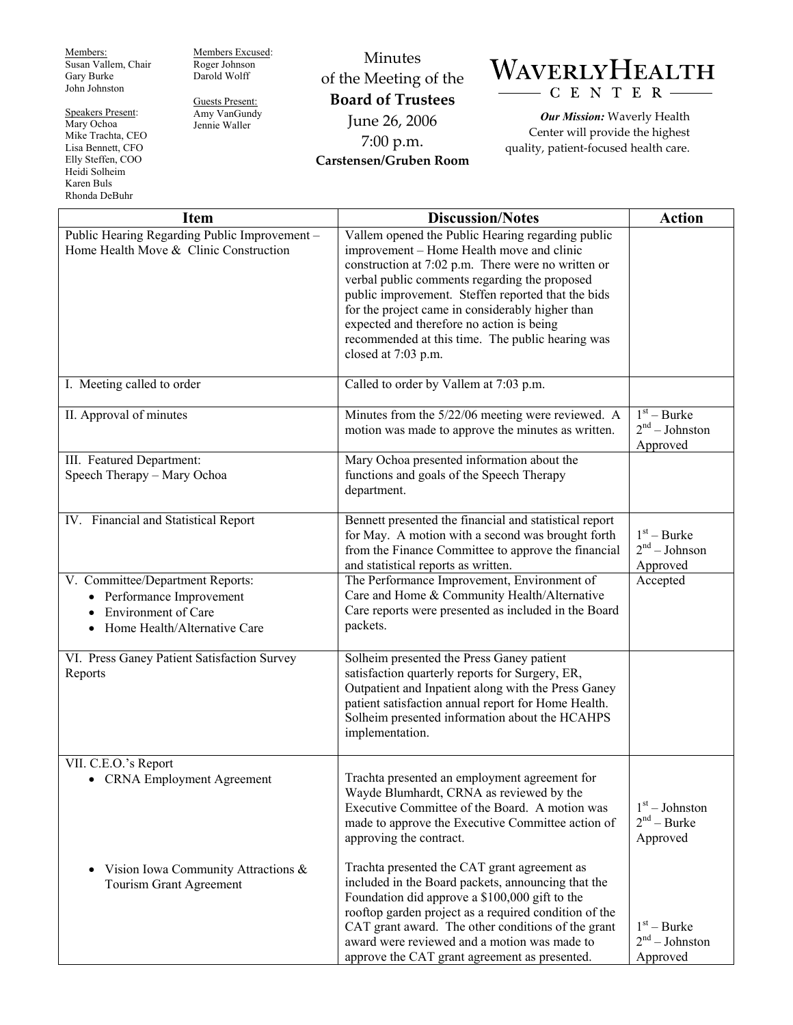Members: Susan Vallem, Chair Gary Burke John Johnston

Speakers Present: Mary Ochoa Mike Trachta, CEO Lisa Bennett, CFO Elly Steffen, COO Heidi Solheim Karen Buls Rhonda DeBuhr

Members Excused: Roger Johnson Darold Wolff

Guests Present: Amy VanGundy Jennie Waller

Minutes of the Meeting of the **Board of Trustees**  June 26, 2006 7:00 p.m. **Carstensen/Gruben Room** 

## WAVERLYHEALTH CENTER-

*Our Mission:* Waverly Health Center will provide the highest quality, patient-focused health care.

| <b>Item</b>                                                                                                                 | <b>Discussion/Notes</b>                                                                                                                                                                                                                                                                                                                                                                                                                 | <b>Action</b>                                 |
|-----------------------------------------------------------------------------------------------------------------------------|-----------------------------------------------------------------------------------------------------------------------------------------------------------------------------------------------------------------------------------------------------------------------------------------------------------------------------------------------------------------------------------------------------------------------------------------|-----------------------------------------------|
| Public Hearing Regarding Public Improvement -<br>Home Health Move & Clinic Construction                                     | Vallem opened the Public Hearing regarding public<br>improvement – Home Health move and clinic<br>construction at 7:02 p.m. There were no written or<br>verbal public comments regarding the proposed<br>public improvement. Steffen reported that the bids<br>for the project came in considerably higher than<br>expected and therefore no action is being<br>recommended at this time. The public hearing was<br>closed at 7:03 p.m. |                                               |
| I. Meeting called to order                                                                                                  | Called to order by Vallem at 7:03 p.m.                                                                                                                                                                                                                                                                                                                                                                                                  |                                               |
| II. Approval of minutes                                                                                                     | Minutes from the 5/22/06 meeting were reviewed. A<br>motion was made to approve the minutes as written.                                                                                                                                                                                                                                                                                                                                 | $1st - Burke$<br>$2nd - Johnston$<br>Approved |
| III. Featured Department:<br>Speech Therapy - Mary Ochoa                                                                    | Mary Ochoa presented information about the<br>functions and goals of the Speech Therapy<br>department.                                                                                                                                                                                                                                                                                                                                  |                                               |
| IV. Financial and Statistical Report                                                                                        | Bennett presented the financial and statistical report<br>for May. A motion with a second was brought forth<br>from the Finance Committee to approve the financial<br>and statistical reports as written.                                                                                                                                                                                                                               | $1st - Burke$<br>$2nd - Johnson$<br>Approved  |
| V. Committee/Department Reports:<br>• Performance Improvement<br><b>Environment of Care</b><br>Home Health/Alternative Care | The Performance Improvement, Environment of<br>Care and Home & Community Health/Alternative<br>Care reports were presented as included in the Board<br>packets.                                                                                                                                                                                                                                                                         | Accepted                                      |
| VI. Press Ganey Patient Satisfaction Survey<br>Reports                                                                      | Solheim presented the Press Ganey patient<br>satisfaction quarterly reports for Surgery, ER,<br>Outpatient and Inpatient along with the Press Ganey<br>patient satisfaction annual report for Home Health.<br>Solheim presented information about the HCAHPS<br>implementation.                                                                                                                                                         |                                               |
| VII. C.E.O.'s Report<br>• CRNA Employment Agreement                                                                         | Trachta presented an employment agreement for<br>Wayde Blumhardt, CRNA as reviewed by the<br>Executive Committee of the Board. A motion was<br>made to approve the Executive Committee action of<br>approving the contract.                                                                                                                                                                                                             | $1st - Johnston$<br>$2nd - Burke$<br>Approved |
| Vision Iowa Community Attractions &<br>$\bullet$<br>Tourism Grant Agreement                                                 | Trachta presented the CAT grant agreement as<br>included in the Board packets, announcing that the<br>Foundation did approve a \$100,000 gift to the<br>rooftop garden project as a required condition of the<br>CAT grant award. The other conditions of the grant<br>award were reviewed and a motion was made to<br>approve the CAT grant agreement as presented.                                                                    | $1st - Burke$<br>$2nd - Johnston$<br>Approved |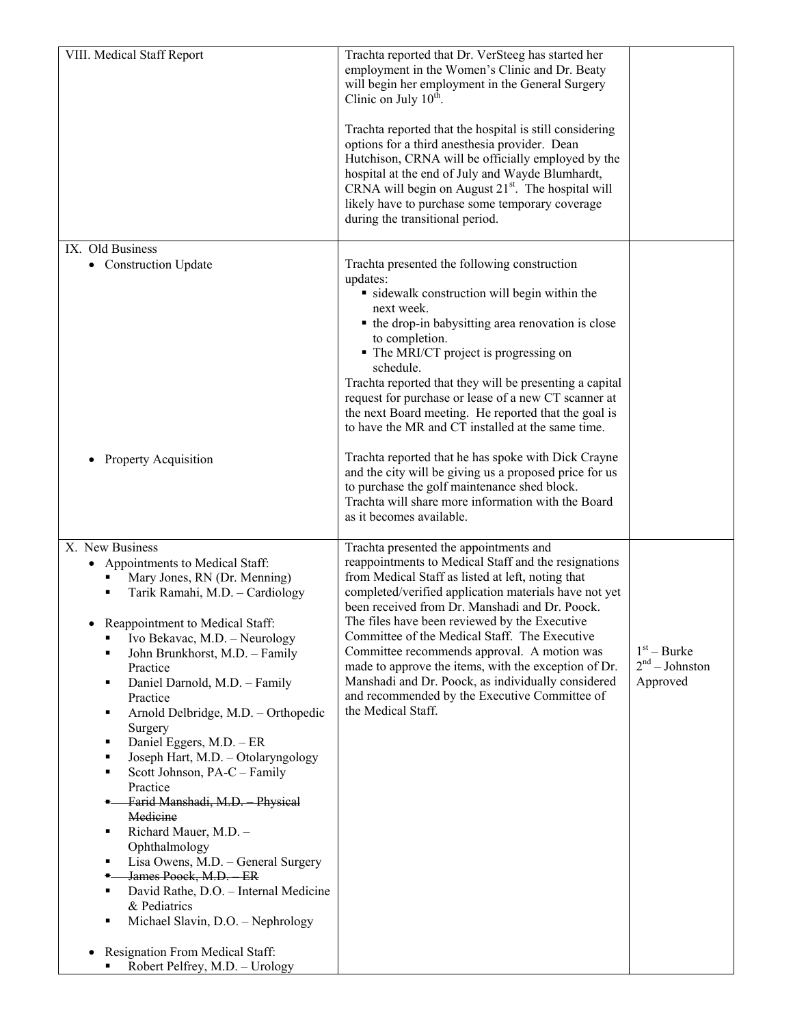| VIII. Medical Staff Report                                                                                                                                                                                                                                                                                                                                                                                                                                                                                                                                                                                                                                                                                                                                                                                                                           | Trachta reported that Dr. VerSteeg has started her<br>employment in the Women's Clinic and Dr. Beaty<br>will begin her employment in the General Surgery<br>Clinic on July $10^{\text{th}}$ .<br>Trachta reported that the hospital is still considering<br>options for a third anesthesia provider. Dean<br>Hutchison, CRNA will be officially employed by the<br>hospital at the end of July and Wayde Blumhardt,<br>CRNA will begin on August 21 <sup>st</sup> . The hospital will<br>likely have to purchase some temporary coverage<br>during the transitional period.                          |                                               |
|------------------------------------------------------------------------------------------------------------------------------------------------------------------------------------------------------------------------------------------------------------------------------------------------------------------------------------------------------------------------------------------------------------------------------------------------------------------------------------------------------------------------------------------------------------------------------------------------------------------------------------------------------------------------------------------------------------------------------------------------------------------------------------------------------------------------------------------------------|------------------------------------------------------------------------------------------------------------------------------------------------------------------------------------------------------------------------------------------------------------------------------------------------------------------------------------------------------------------------------------------------------------------------------------------------------------------------------------------------------------------------------------------------------------------------------------------------------|-----------------------------------------------|
| IX. Old Business<br>• Construction Update                                                                                                                                                                                                                                                                                                                                                                                                                                                                                                                                                                                                                                                                                                                                                                                                            | Trachta presented the following construction<br>updates:<br>• sidewalk construction will begin within the<br>next week.<br>• the drop-in babysitting area renovation is close<br>to completion.<br>• The MRI/CT project is progressing on<br>schedule.<br>Trachta reported that they will be presenting a capital<br>request for purchase or lease of a new CT scanner at<br>the next Board meeting. He reported that the goal is<br>to have the MR and CT installed at the same time.                                                                                                               |                                               |
| Property Acquisition                                                                                                                                                                                                                                                                                                                                                                                                                                                                                                                                                                                                                                                                                                                                                                                                                                 | Trachta reported that he has spoke with Dick Crayne<br>and the city will be giving us a proposed price for us<br>to purchase the golf maintenance shed block.<br>Trachta will share more information with the Board<br>as it becomes available.                                                                                                                                                                                                                                                                                                                                                      |                                               |
| X. New Business<br>• Appointments to Medical Staff:<br>Mary Jones, RN (Dr. Menning)<br>Tarik Ramahi, M.D. - Cardiology<br>×,<br>• Reappointment to Medical Staff:<br>Ivo Bekavac, M.D. - Neurology<br>٠<br>John Brunkhorst, M.D. - Family<br>٠<br>Practice<br>Daniel Darnold, M.D. - Family<br>п<br>Practice<br>Arnold Delbridge, M.D. - Orthopedic<br>Е<br>Surgery<br>Daniel Eggers, M.D. - ER<br>п<br>Joseph Hart, M.D. - Otolaryngology<br>٠<br>Scott Johnson, PA-C - Family<br>٠<br>Practice<br>Farid Manshadi, M.D. Physical<br>Medicine<br>Richard Mauer, M.D. -<br>п<br>Ophthalmology<br>Lisa Owens, M.D. - General Surgery<br>٠<br>James Poock, M.D. - ER<br>۰.<br>David Rathe, D.O. - Internal Medicine<br>٠<br>& Pediatrics<br>Michael Slavin, D.O. - Nephrology<br>п<br>Resignation From Medical Staff:<br>Robert Pelfrey, M.D. - Urology | Trachta presented the appointments and<br>reappointments to Medical Staff and the resignations<br>from Medical Staff as listed at left, noting that<br>completed/verified application materials have not yet<br>been received from Dr. Manshadi and Dr. Poock.<br>The files have been reviewed by the Executive<br>Committee of the Medical Staff. The Executive<br>Committee recommends approval. A motion was<br>made to approve the items, with the exception of Dr.<br>Manshadi and Dr. Poock, as individually considered<br>and recommended by the Executive Committee of<br>the Medical Staff. | $1st - Burke$<br>$2nd - Johnston$<br>Approved |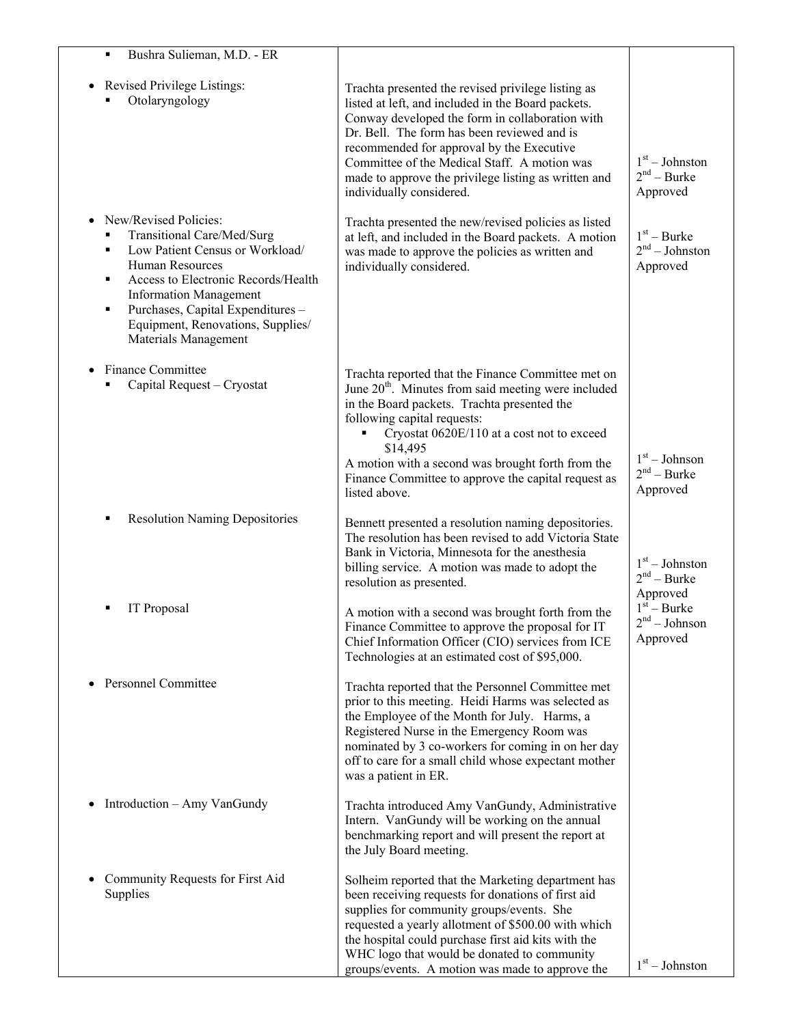| Bushra Sulieman, M.D. - ER                                                                                                                                                                                                                                                                                 |                                                                                                                                                                                                                                                                                                                                                                                                              |                                               |
|------------------------------------------------------------------------------------------------------------------------------------------------------------------------------------------------------------------------------------------------------------------------------------------------------------|--------------------------------------------------------------------------------------------------------------------------------------------------------------------------------------------------------------------------------------------------------------------------------------------------------------------------------------------------------------------------------------------------------------|-----------------------------------------------|
| Revised Privilege Listings:<br>Otolaryngology                                                                                                                                                                                                                                                              | Trachta presented the revised privilege listing as<br>listed at left, and included in the Board packets.<br>Conway developed the form in collaboration with<br>Dr. Bell. The form has been reviewed and is<br>recommended for approval by the Executive<br>Committee of the Medical Staff. A motion was<br>made to approve the privilege listing as written and<br>individually considered.                  | $1st - Johnston$<br>$2nd - Burke$<br>Approved |
| New/Revised Policies:<br>$\bullet$<br>Transitional Care/Med/Surg<br>Low Patient Census or Workload/<br>Human Resources<br>Access to Electronic Records/Health<br>٠<br><b>Information Management</b><br>Purchases, Capital Expenditures -<br>٠<br>Equipment, Renovations, Supplies/<br>Materials Management | Trachta presented the new/revised policies as listed<br>at left, and included in the Board packets. A motion<br>was made to approve the policies as written and<br>individually considered.                                                                                                                                                                                                                  | $1st - Burke$<br>$2nd - Johnston$<br>Approved |
| Finance Committee<br>$\bullet$<br>Capital Request - Cryostat                                                                                                                                                                                                                                               | Trachta reported that the Finance Committee met on<br>June 20 <sup>th</sup> . Minutes from said meeting were included<br>in the Board packets. Trachta presented the<br>following capital requests:<br>Cryostat 0620E/110 at a cost not to exceed<br>$\blacksquare$<br>\$14,495<br>A motion with a second was brought forth from the<br>Finance Committee to approve the capital request as<br>listed above. | $1st - Johnson$<br>$2nd - Burke$<br>Approved  |
| <b>Resolution Naming Depositories</b><br>п                                                                                                                                                                                                                                                                 | Bennett presented a resolution naming depositories.<br>The resolution has been revised to add Victoria State<br>Bank in Victoria, Minnesota for the anesthesia<br>billing service. A motion was made to adopt the<br>resolution as presented.                                                                                                                                                                | $1st - Johnston$<br>$2nd - Burke$<br>Approved |
| IT Proposal                                                                                                                                                                                                                                                                                                | A motion with a second was brought forth from the<br>Finance Committee to approve the proposal for IT<br>Chief Information Officer (CIO) services from ICE<br>Technologies at an estimated cost of \$95,000.                                                                                                                                                                                                 | $1st - Burke$<br>$2nd - Johnson$<br>Approved  |
| <b>Personnel Committee</b>                                                                                                                                                                                                                                                                                 | Trachta reported that the Personnel Committee met<br>prior to this meeting. Heidi Harms was selected as<br>the Employee of the Month for July. Harms, a<br>Registered Nurse in the Emergency Room was<br>nominated by 3 co-workers for coming in on her day<br>off to care for a small child whose expectant mother<br>was a patient in ER.                                                                  |                                               |
| Introduction – Amy VanGundy                                                                                                                                                                                                                                                                                | Trachta introduced Amy VanGundy, Administrative<br>Intern. VanGundy will be working on the annual<br>benchmarking report and will present the report at<br>the July Board meeting.                                                                                                                                                                                                                           |                                               |
| Community Requests for First Aid<br>$\bullet$<br>Supplies                                                                                                                                                                                                                                                  | Solheim reported that the Marketing department has<br>been receiving requests for donations of first aid<br>supplies for community groups/events. She<br>requested a yearly allotment of \$500.00 with which<br>the hospital could purchase first aid kits with the<br>WHC logo that would be donated to community<br>groups/events. A motion was made to approve the                                        | $1st - Johnston$                              |